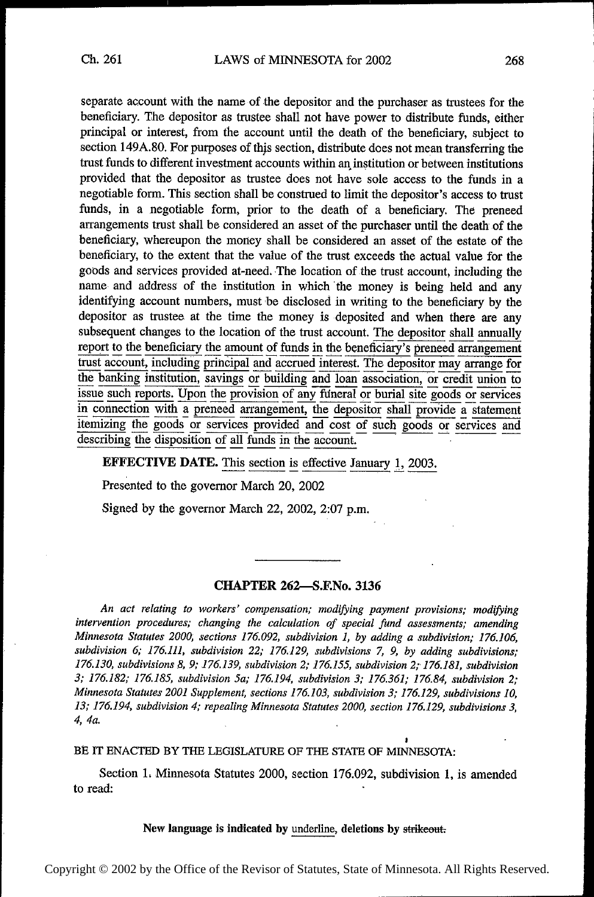separate account with the name of the depositor and the purchaser as trustees for the beneficiary. The depositor as trustee shall not have power to distribute funds, either principal or interest, from the account until the death of the beneficiary, subject to section 149A.80. For purposes of this section, distribute does not mean transferring the trust funds to different investment accounts within an institution or between institutions provided that the depositor as trustee does not have sole access to the funds in a negotiable form. This section shall be construed to limit the depositor's access to trust funds, in a negotiable form, prior to the death of a beneficiary. The preneed arrangements trust shall be considered an asset of the purchaser until the death of the beneficiary, whereupon the money shall be considered an asset of the estate of the beneficiary, to the extent that the value of the trust exceeds the actual value for the goods and services provided at-need. The location of the trust account, including the name and address of the institution in which the money is being held and any identifying account numbers, must be disclosed in writing to the beneficiary by the depositor as trustee, at the time the money is deposited and when there are any subsequent changes to the location of the trust account. The depositor shall annually report to the beneficiary the amount of funds in the beneficiary's preneed arrangement trust account, including principal and accrued interest. The depositor may arrange for the banking institution, savings or building and loan association, or credit union to issue such reports. Upon the provision of any funeral or burial site goods or services in connection with a preneed arrangement, the depositor shall provide a statement itemizing the goods or services provided and cost of such goods or services and describing the disposition of all funds in the account.

EFFECTIVE DATE. This section is effective January 1, 2003.

Presented to the governor March 20, 2002

Signed by the governor March 22, 2002, 2:07 p.m.

## CHAPTER 262—S.F.No. 3136

An act relating to workers' compensation; modifying payment provisions; modifying intervention procedures; changing the calculation of special fund assessments; amending Minnesota Statutes 2000, sections 176.092, subdivision 1, by adding a subdivision; 176.106, subdivision 6; 176.111, subdivision 22; 176.129, subdivisions 7, 9, by adding subdivisions; 176.130, subdivisions 8, 9; 176.139, subdivision 2; 176.155, subdivision 2; 176.181, subdivision 3; 176.182; 176.185, subdivision 5a; 176.194, subdivision 3; 176.361; 176.84, subdivision 2; Minnesota Statutes 2001 Supplement, sections 176.103, subdivision 3; 176.129, subdivisions 10, 13; 176.194, subdivision 4; repealing Minnesota Statutes 2000, section 176.129, subdivisions 3, 4, 4a.

BE IT ENACTED BY THE LEGISLATURE OF THE STATE OF MINNESOTA:

Section 1. Minnesota Statutes 2000, section 176.092, subdivision 1, is amended to read:  $\ddot{\phantom{a}}$ 

.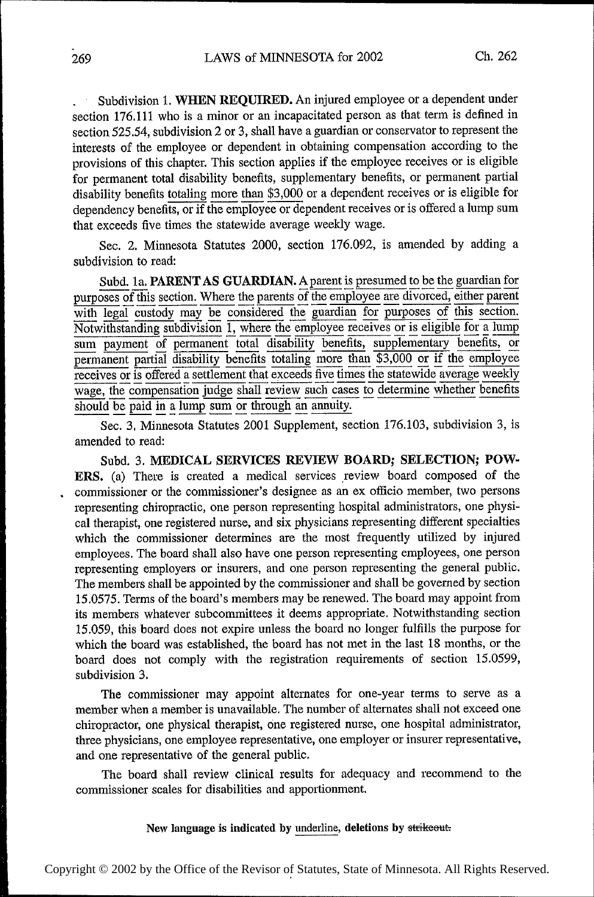Subdivision 1. WHEN REQUIRED. An injured employee or a dependent under section 176.111 who is a minor or an incapacitated person as that term is defined in section 525.54, subdivision 2 or 3, shall have a guardian or conservator to represent the interests of the employee or dependent in obtaining compensation according to the provisions of this chapter. This section applies if the employee receives or is eligible for permanent total disability benefits, supplementary benefits, or permanent partial disability benefits totaling more than \$3,000 or a dependent receives or is eligible for dependency benefits, or if the employee or dependent receives or is offered a lump sum that exceeds five times the statewide average weekly wage.

Sec. 2. Minnesota Statutes 2000, section 176.092, is amended by adding a subdivision to read:

Subd. 1a. PARENT AS GUARDIAN. A parent is presumed to be the guardian for purposes of this section. Where the parents of the employee are divorced, either parent with legal custody may be considered the guardian for purposes of this section. Notwithstanding subdivision 1, where the employee receives or is eligible for a lump sum payment of permanent total disability benefits, supplementary benefits, or permanent partial disability benefits totaling more than \$3,000 or if the employee receives or is offered a settlement that exceeds five times the statewide average weekly wage, the compensation judge shall review such cases to determine whether benefits should be paid in a lump sum or through an annuity.

Sec. 3, Minnesota Statutes 2001 Supplement, section 176.103, subdivision 3, is amended to read:

Subd. 3. MEDICAL SERVICES REVIEW BOARD; SELECTION; POW-ERS. (a) There is created a medical services review board composed of the commissioner or the commissioner's designee as an ex officio member, two persons representing chiropractic, one person representing hospital administrators, one physical therapist, one registered nurse, and six physicians representing different specialties which the commissioner determines are the most frequently utilized by injured employees. The board shall also have one person representing employees, one person representing employers or insurers, and one person representing the general public. The members shall be appointed by the commissioner and shall be governed by section 15.0575. Terms of the board's members may be renewed. The board may appoint from its members whatever subcommittees it deems appropriate. Notwithstanding section 15.059, this board does not expire unless the board no longer fulfills the purpose for which the board was established, the board has not met in the last 18 months, or the board does not comply with the registration requirements of section 15.0599, subdivision 3.

The commissioner may appoint alternates for one-year terms to serve as a member when a member is unavailable. The number of alternates shall not exceed one chiropractor, one physical therapist, one registered nurse, one hospital administrator, three physicians, one employee representative, one employer or insurer representative, and one representative of the general public.

The board shall review clinical results for adequacy and recommend to the commissioner scales for disabilities and apportionment.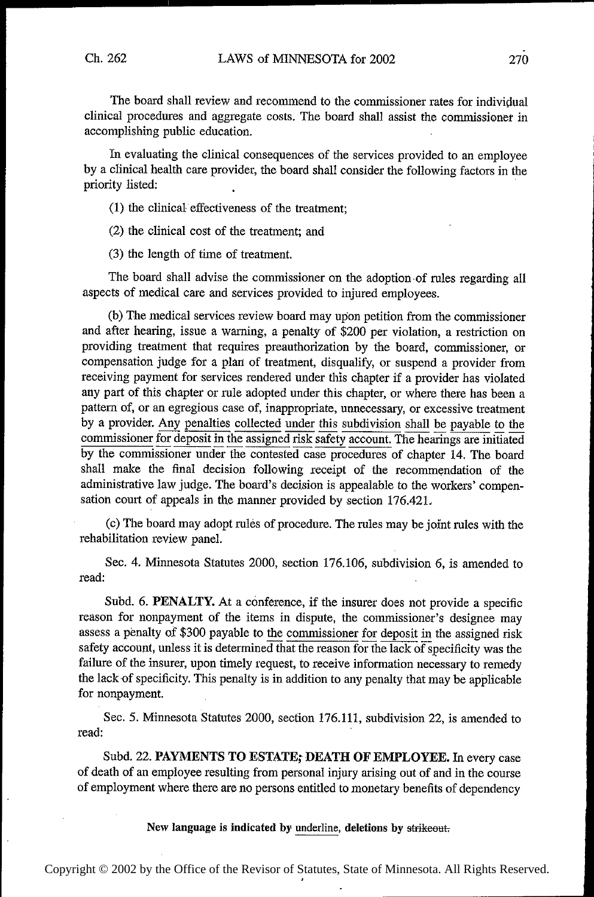The board shall review and recommend to the commissioner rates for individual clinical procedures and aggregate costs. The board shall assist the commissioner in accomplishing public education.

In evaluating the clinical consequences of the services provided to an employee by a clinical health care provider, the board shall consider the following factors in the priority listed:

(1) the clinical effectiveness of the treatment;

(2) the clinical cost of the treatment; and

(3) the length of time of treatment.

The board shall advise the commissioner on the adoption-of rules regarding all aspects of medical care and services provided to injured employees.

(b) The medical services review board may upon petition from the commissioner and after hearing, issue a warning, a penalty of \$200 per violation, a restriction on providing treatment that requires preauthorization by the board, commissioner, or compensation judge for a plan of treatment, disqualify, or suspend a provider from receiving payment for services rendered under this chapter if a provider has violated any part of this chapter or rule adopted under this chapter, or where there has been a pattern of, or an egregious case of, inappropriate, unnecessary, or excessive treatment by a provider. Any penalties collected under this subdivision shall be payable to the commissioner for deposit in the assigned risk safety account. The hearings are initiated by the commissioner under the contested case procedures of chapter 14. The board shall make the final decision following receipt of the recommendation of the administrative law judge. The board's decision is appealable to the workers' compensation court of appeals in the manner provided by section 176.421.

(c) The board may adopt rules of procedure. The rules may be joint rules with the rehabilitation review panel.

Sec. 4. Minnesota Statutes 2000, section 176.106, subdivision 6, is amended to read: .

Subd. 6. PENALTY. At a conference, if the insurer does not provide a specific reason for nonpayment of the items in dispute, the commissioner's designee may assess a penalty of \$300 payable to the commissioner for deposit in the assigned risk safety account, unless it is determined that the reason for the lack of specificity was the failure of the insurer, upon timely request, to receive information necessary to remedy the lack of specificity. This penalty is in addition to any penalty that may be applicable for nonpayment.

See. 5. Minnesota Statutes 2000, section 176.111, subdivision 22, is amended to read:  $\blacksquare$ 

Subd. 22. PAYMENTS TO ESTATE; DEATH OF EMPLOYEE. In every case of death of an employee resulting from personal injury arising out of and in the course of employment where there are no persons entitled to monetary benefits of dependency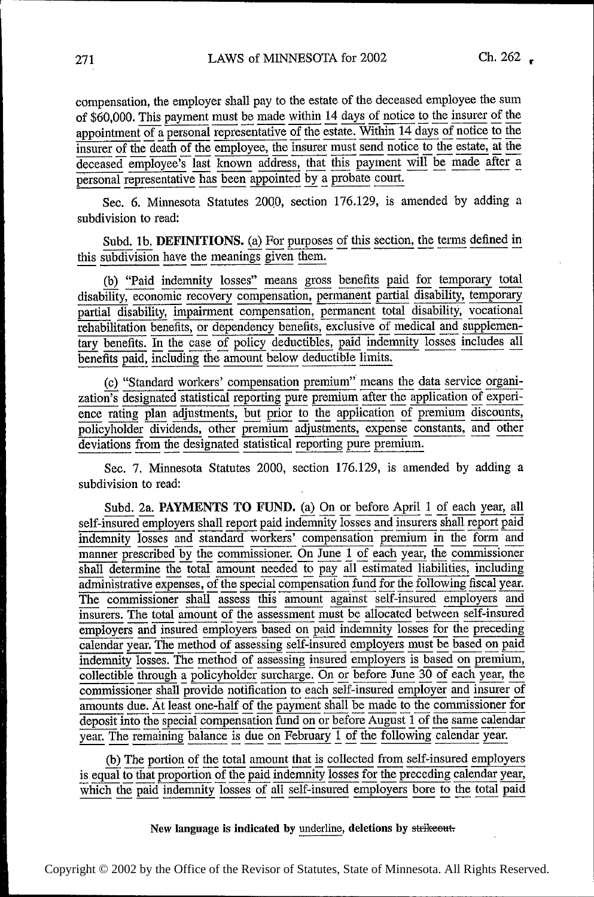compensation, the employer shall pay to the estate of the deceased employee the sum of \$60,000. This payment must be made within 14 days of notice to the insurer of the appointment of a personal representative of the estate. Within 14 days of notice to the insurer of the death of the employee, the insurer must send notice to the estate, at the deceased employee's last known address, that this payment will be made after a personal representative has been appointed by a probate court.

Sec. 6. Minnesota Statutes 2000, section 176.129, is amended by adding a subdivision to read:

Subd. 1b. DEFINITIONS. (a) For purposes of this section, the terms defined in this subdivision have the meanings given them.

(b) "Paid indemnity losses" means gross benefits paid for temporary total disability, economic recovery compensation, permanent partial disability, temporary partial disability, impairment compensation, permanent total disability, vocational rehabilitation benefits, or dependency benefits, exclusive of medical and supplementary benefits. In the case of policy deductibles, paid indemnity losses includes all benefits paid, including the amount below deductible limits.

(c) "Standard workers' compensation premium" means the data service organization's designated statistical reporting pure premium after the application of experience rating plan adjustments, but prior to the application of premium discounts, policyholder dividends, other premium adjustments, expense constants, and other<br>deviations from the designated statistical reporting pure premium.

Sec. 7. Minnesota Statutes 2000, section 176.129, is amended by adding a subdivision to read:

Subd. 2a. PAYMENTS TO FUND. (a) On or before April 1 of each year, all self-insured employers shall report paid indemnity losses and insurers shall report paid indemnity losses and standard workers' compensation premium in the form and<br>manner prescribed by the commissioner. On June 1 of each year, the commissioner shall determine the total amount needed to pay all estimated liabilities, including administrative expenses, of the special compensation fund for the following fiscal year. The commissioner shall assess this amount against self-insured employers and insurers. The total amount of the assessment must be allocated between self-insured<br>employers and insured employers based on paid indemnity losses for the preceding calendar year. The method of assessing self-insured employers must be based on paid indemnity losses. The method of assessing insured employers is based on premium, collectible through a policyholder surcharge. On or before June 30 of each year, the commissioner shall provide notification to each self-insured employer and insurer of amounts due. At least one-half of the payment shall be made to the commissioner for deposit into the special compensation fund on or before August 1 of the same calendar year. The remaining balance is due on February 1 of the following calendar year.

(b) The portion of the total amount that is collected from self-insured employers is equal to that proportion of the paid indemnity losses for the preceding calendar year, which the paid indemnity losses of all self-insured employers bore to the total paid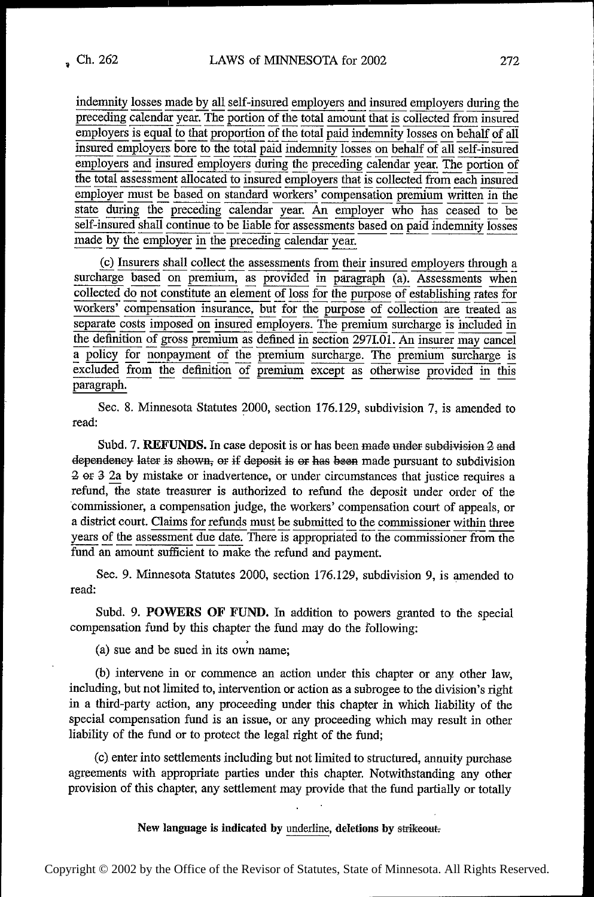indemnity losses made by all self-insured employers and insured employers during the preceding calendar year. The portion of the total amount that is collected from insured employers is equal to that proportion of the total paid indemnity losses on behalf of all insured employers bore to the total paid indemnity losses on behalf of all self-insured employers and insured employers during the preceding calendar year. The portion of the total assessment allocated to insured employers that is collected from each insured employer must be based on standard workers' compensation premium written in the state during the preceding calendar year. An employer who has ceased to be self-insured shall continue to be liable for assessments based on paid indemnity losses made by the employer in the preceding calendar year.

(c) Insurers shall collect the assessments from their insured employers through a surcharge based on premium, as provided in paragraph (a). Assessments when collected do not constitute an element of loss for the purpose of establishing rates for workers' compensation insurance, but for the purpose of collection are treated as separate costs imposed on insured employers. The premium surcharge is included in the definition of gross premium as defined in section 2971.01. An insurer may cancel a policy for nonpayment of the premium surcharge. The premium surcharge is excluded from the definition of premium except as otherwise provided in this paragraph.

Sec. 8. Minnesota Statutes 2000, section 176.129, subdivision 7, is amended to read:

Subd. 7. REFUNDS. In case deposit is or has been made under subdivision 2 and dependency later is shown, or if deposit is or has been made pursuant to subdivision 2 or 3 2a by mistake or inadvertence, or under circumstances that justice requires a refund, the state treasurer is authorized to refund the deposit under order of the commissioner, a compensation judge, the workers' compensation court of appeals, or a district court. Claims for refunds must be submitted to the commissioner within three years of the assessment due date. There is appropriated to the commissioner from the fund an amount sufficient to make the refund and payment.

Sec. 9. Minnesota Statutes 2000, section 176.129, subdivision 9, is amended to read:

Subd. 9. POWERS OF FUND. In addition to powers granted to the special compensation fund by this chapter the fund may do the following:

(a) sue and be sued in its own name;

(b) intervene in or commence an action under this chapter or any other law, including, but not limited to, intervention or action as a subrogee to the division's right in a third-party action, any proceeding under this chapter in which liability of the special compensation fund is an issue, or any proceeding which may result in other liability of the fund or to protect the legal right of the fund;

(c) enter into settlements including but not limited to structured, annuity purchase agreements with appropriate parties under this chapter. Notwithstanding any other provision of this chapter, any settlement may provide that the fund partially or totally

New language is indicated by underline, deletions by strikeout.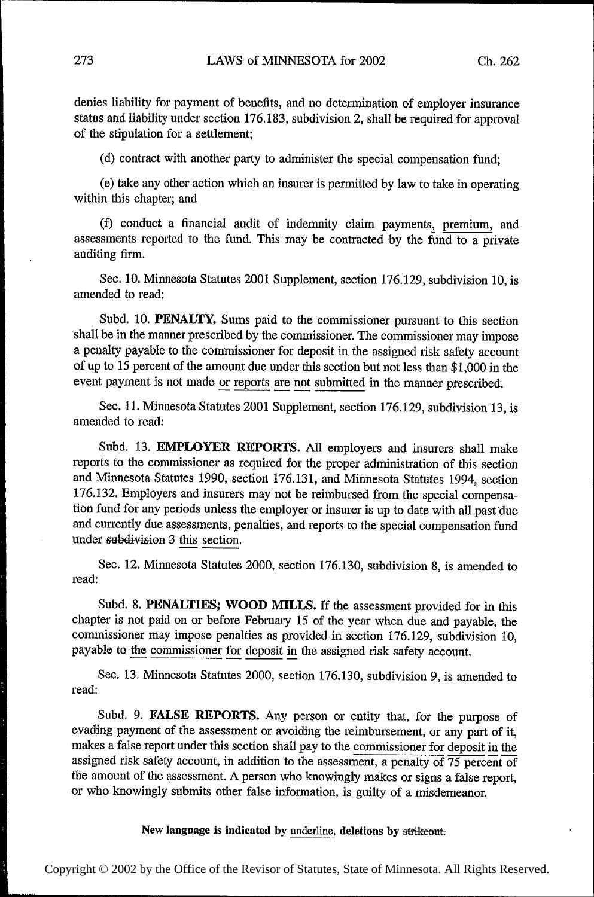denies liability for payment of benefits, and no determination of employer insurance status and liability under section 176.183, subdivision 2, shall be required for approval of the stipulation for a settlement;

(d) contract with another party to administer the special compensation fund;

(e) take any other action which an insurer is permitted by law to take in operating within this chapter; and

(f) conduct a financial audit of indemnity claim payments, premium, and assessments reported to the fund. This may be contracted by the fund to a private auditing firm.

Sec. 10. Minnesota Statutes 2001 Supplement, section 176.129, subdivision 10, is amended to read:

Subd. 10. PENALTY. Sums paid to the commissioner pursuant to this section shall be in the manner prescribed by the commissioner. The commissioner may impose a penalty payable to the commissioner for deposit in the assigned risk safety account of up to 15 percent of the amount due under this section but not less than \$1,000 in the event payment is not made or reports are not submitted in the manner prescribed.

Sec. 11. Minnesota Statutes 2001 Supplement, section 176.129, subdivision 13, is amended to read:

Subd. 13. EMPLOYER REPORTS. All employers and insurers shall make reports to the commissioner as required for the proper administration of this section and Minnesota Statutes 1990, section 176.131, and Minnesota Statutes 1994, section 176.132. Employers and insurers may not be reimbursed from the special compensation fund for any periods unless the employer or insurer is up to date with all past due and currently due assessments, penalties, and reports to the special compensation fund under subdivision 3 this section.

See. 12. Minnesota Statutes 2000, section 176.130, subdivision 8, is amended to read:

Subd. 8. PENALTIES; WOOD MILLS. If the assessment provided for in this chapter is not paid on or before February 15 of the year when due and payable, the commissioner may impose penalties as provided in section 176.129, subdivision 10, payable to the commissioner for deposit in the assigned risk safety account.

Sec. 13. Minnesota Statutes 2000, section 176.130, subdivision 9, is amended to read:

Subd. 9. FALSE REPORTS. Any person or entity that, for the purpose of evading payment of the assessment or avoiding the reimbursement, or any part of it, makes a false report under this section shall pay to the commissioner for deposit in the assigned risk safety account, in addition to the assessment, a penalty of  $\overline{75}$  percent of the amount of the assessment. A person who knowingly makes or signs a false report, or who knowingly submits other false information, is guilty of a misdemeanor.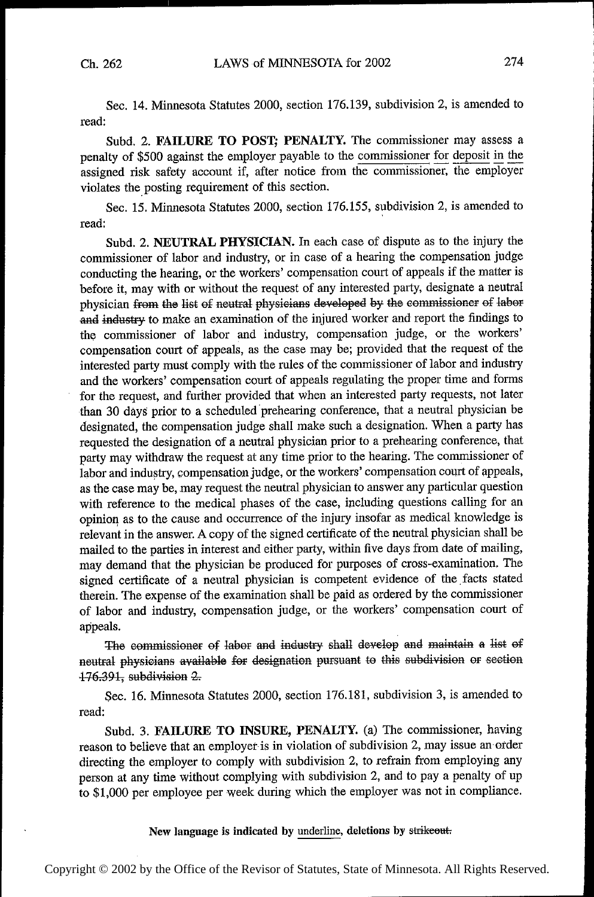Sec. 14. Minnesota Statutes 2000, section 176.139, subdivision 2, is amended to read:

Subd. 2. FAILURE TO POST; PENALTY. The commissioner may assess <sup>a</sup> penalty of \$500 against the employer payable to the commissioner for deposit in the assigned risk safety account if, after notice from the commissioner, the employer violates the posting requirement of this section.

Sec. 15. Minnesota Statutes 2000, section 176.155, subdivision 2, is amended to read:

Subd. 2. NEUTRAL PHYSICIAN. In each case of dispute as to the injury the commissioner of labor and industry, or in case of a hearing the compensation judge conducting the hearing, or the workers' compensation court of appeals if the matter is before it, may with or without the request of any interested party, designate a neutral physician from the list of neutral physicians developed by the commissioner of labor and industry to make an examination of the injured worker and report the findings to the commissioner of labor and industry, compensation judge, or the workers' compensation court of appeals, as the case may be; provided that the request of the interested party must comply with the rules of the commissioner of labor and industry and the workers' compensation court of appeals regulating the proper time and forms for the request, and further provided that when an interested party requests, not later than 30 days prior to a scheduled prehearing conference, that a neutral physician be designated, the compensation judge shall make such a designation. When a party has requested the designation of a neutral physician prior to a prehearing conference, that party may withdraw the request at any time prior to the hearing. The commissioner of labor and industry, compensation judge, or the workers' compensation court of appeals, as the case may be, may request the neutral physician to answer any particular question with reference to the medical phases of the case, including questions calling for an opinion as to the cause and occurrence of the injury insofar as medical knowledge is relevant in the answer. A copy of the signed certificate of the neutral physician shall be mailed to the parties in interest and either party, within five days from date of mailing, may demand that the physician be produced for purposes of cross~examination. The signed certificate of a neutral physician is competent evidence of the facts stated therein. The expense of the examination shall be paid as ordered by the commissioner of labor and industry, compensation judge, or the workers' compensation court of appeals.

The commissioner of labor and industry shall develop and maintain a list of neutral physicians available for designation pursuant to this subdivision or section 176.391, subdivision 2.

Sec. 16. Minnesota Statutes 2000, section 176.181, subdivision 3, is amended to read:

Subd. 3. FAILURE TO INSURE, PENALTY. (a) The commissioner, having reason to believe that an employer is in violation of subdivision 2, may issue an order directing the employer to comply with subdivision 2, to refrain from employing any person at any time without complying with subdivision 2, and to pay a penalty of up to \$1,000 per employee per week during which the employer was not in compliance.

New language is indicated by underline, deletions by strikeout.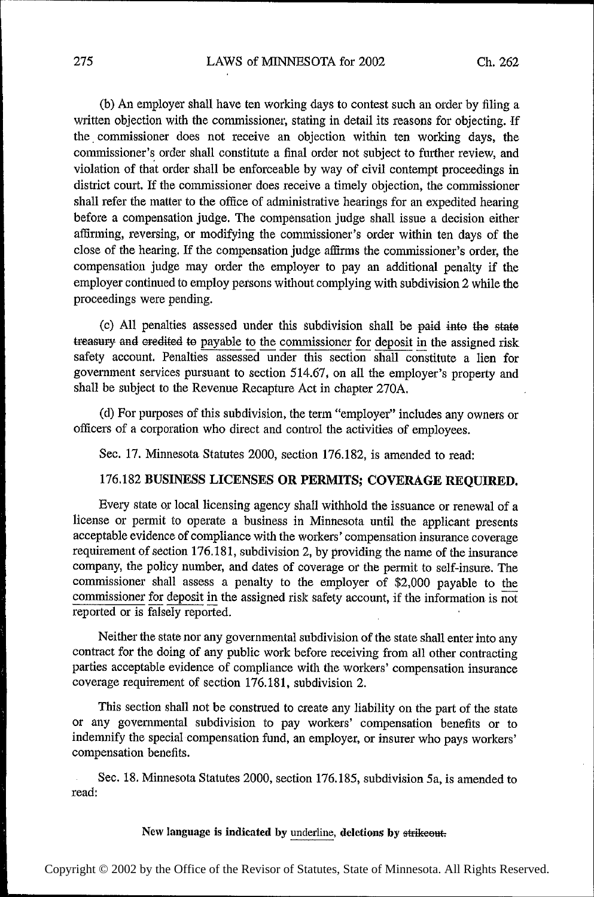(b) An employer shall have ten working days to contest such an order by filing a written objection with the commissioner, stating in detail its reasons for objecting. If the commissioner does not receive an objection within ten working days, the commissioner's order shall constitute a final order not subject to further review, and violation of that order shall be enforceable by way of civil contempt proceedings in district court. If the commissioner does receive a timely objection, the commissioner shall refer the matter to the oflice of administrative hearings for an expedited hearing before a compensation judge. The compensation judge shall issue a decision either aflirming, reversing, or modifying the commissioner's order within ten days of the close of the hearing. If the compensation judge affirms the commissioner's order, the compensation judge may order the employer to pay an additional penalty if the employer continued to employ persons without complying with subdivision 2 while the proceedings were pending.

(c) All penalties assessed under this subdivision shall be paid into the state treasury and eredited to payable to the commissioner for deposit in the assigned risk safety account. Penalties assessed under this section shall constitute a lien for government services pursuant to section 514.67, on all the employer's property and shall be subject to the Revenue Recapture Act in chapter 270A.

(d) For purposes of this subdivision, the term "employer" includes any owners or officers of a corporation who direct and control the activities of employees.

Sec. 17. Minnesota Statutes 2000, section 176.182, is amended to read:

## 176.182 BUSINESS LICENSES OR PERMITS; COVERAGE REQUIRED.

Every state or local licensing agency shall withhold the issuance or renewal of a license or permit to operate a business in Minnesota until the applicant presents acceptable evidence of compliance with the workers' compensation insurance coverage requirement of section 176.181, subdivision 2, by providing the name of the insurance company, the policy number, and dates of coverage or the permit to self—insure. The commissioner shall assess a penalty to the employer of \$2,000 payable to the commissioner for deposit in the assigned risk safety account, if the information is  $\overline{not}$ reported or is falsely reported.

Neither the state nor any governmental subdivision of the state shall enter into any contract for the doing of any public work before receiving from all other contracting parties acceptable evidence of compliance with the workers' compensation insurance coverage requirement of section 176.181, subdivision 2.

This section shall not be construed to create any liability on the part of the state or any governmental subdivision to pay workers' compensation benefits or to indemnify the special compensation fund, an employer, or insurer who pays workers' compensation benefits.

Sec. 18. Minnesota Statutes 2000, section 176.185, subdivision 5a, is amended to read: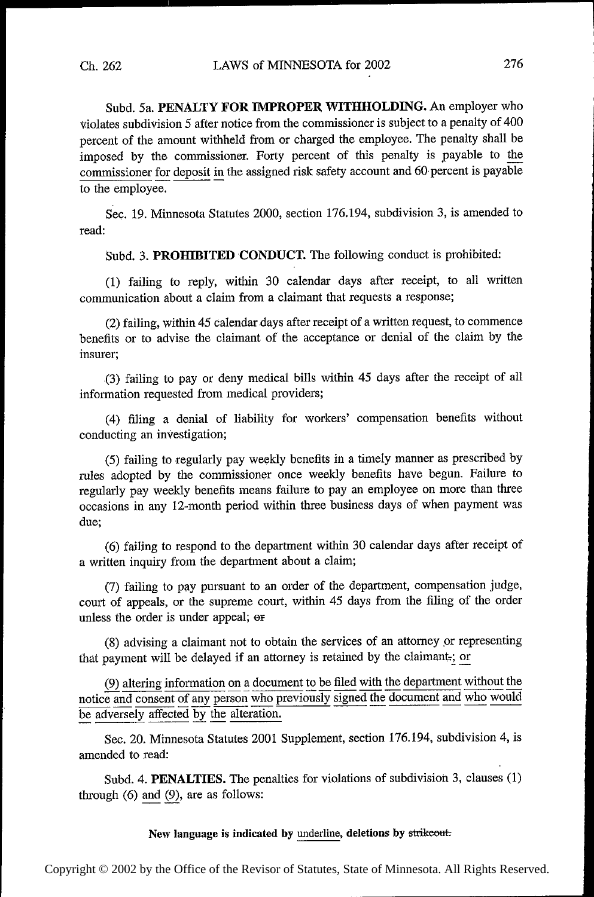Subd. 5a. PENALTY FOR IMPROPER WITHHOLDING. An employer who violates subdivision 5 after notice from the commissioner is subject to a penalty of 400 percent of the amount withheld from or charged the employee. The penalty shall be imposed by the commissioner. Forty percent of this penalty is payable to the commissioner for deposit in the assigned risk safety account and 60 percent is payable to the employee.

Sec. 19. Minnesota Statutes 2000, section 176.194, subdivision 3, is amended to read:

Subd. 3. PROHIBITED CONDUCT. The following conduct is prohibited:

(1) failing to reply, within 30 calendar days after receipt, to all written communication about a claim from a claimant that requests a response;

(2) failing, within 45 calendar days after receipt of a written request, to commence benefits or to advise the claimant of the acceptance or denial of the claim by the insurer;

(3) failing to pay or deny medical bills within 45 days after the receipt of all information requested from medical providers;

(4) filing a denial of liability for workers' compensation benefits without conducting an investigation;

(5) failing to regularly pay weekly benefits in a timely manner as prescribed by rules adopted by the commissioner once weekly benefits have begun. Failure to regularly pay weekly benefits means failure to pay an employee on more than three occasions in any 12-month period within three business days of when payment was due;

(6) failing to respond to the department within 30 calendar days after receipt of a written inquiry from the department about a claim;

(7) failing to pay pursuant to an order of the department, compensation judge, court of appeals, or the supreme court, within 45 days from the filing of the order unless the order is under appeal; er

(8) advising a claimant not to obtain the services of an attorney \_or representing that payment will be delayed if an attorney is retained by the claimant,; or

 $\frac{(9)}{6}$  altering information on a document to be filed with the department without the notice and consent of any person who previously signed the document and who would be adversely affected by the alteration.

Sec. 20. Minnesota Statutes 2001 Supplement, section 176.194, subdivision 4, is amended to read:

Subd. 4. **PENALTIES.** The penalties for violations of subdivision 3, clauses  $(1)$ through  $(6)$  and  $(9)$ , are as follows:

## New language is indicated by underline, deletions by strikeout.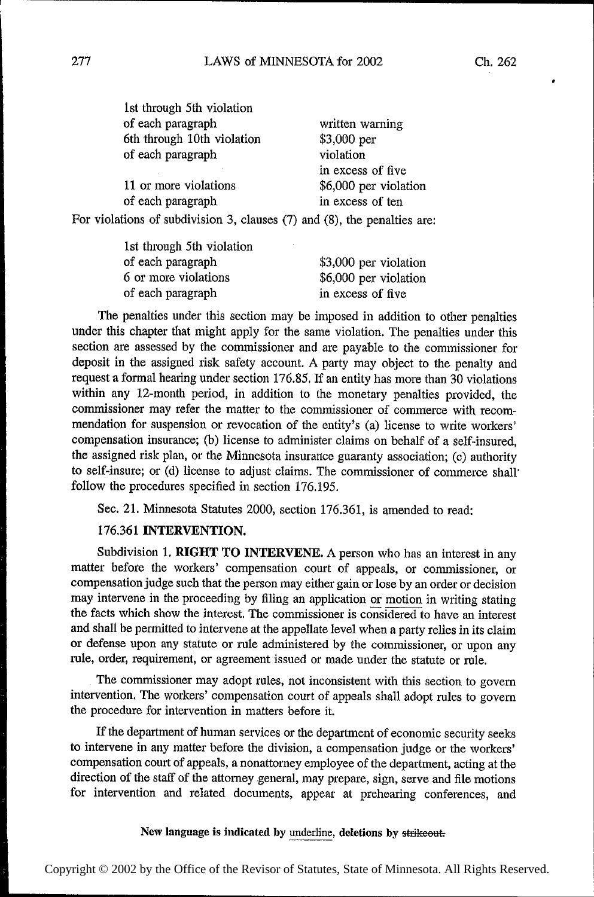| 1st through 5th violation  |                       |
|----------------------------|-----------------------|
| of each paragraph          | written warning       |
| 6th through 10th violation | $$3,000$ per          |
| of each paragraph          | violation             |
|                            | in excess of five     |
| 11 or more violations      | \$6,000 per violation |
| of each paragraph          | in excess of ten      |
|                            | $1.771$ $1.7$         |

For violations of subdivision 3, clauses (7) and (8), the penalties are:

| 1st through 5th violation |                       |
|---------------------------|-----------------------|
| of each paragraph         | \$3,000 per violation |
| 6 or more violations      | \$6,000 per violation |
| of each paragraph         | in excess of five     |
|                           |                       |

The penalties under this section may be imposed in addition to other penalties under this chapter that might apply for the same violation. The penalties under this section are assessed by the commissioner and are payable to the commissioner for deposit in the assigned risk safety account. A party may object to the penalty and request a formal hearing under section 176.85. If an entity has more than 30 violations within any 12-month period, in addition to the monetary penalties provided, the commissioner may refer the matter to the commissioner of commerce with recommendation for suspension or revocation of the entity's (a) license to write workers' compensation insurance; (b) license to administer claims on behalf of a self-insured, the assigned risk plan, or the Minnesota insurance guaranty association; (c) authority to self-insure; or (d) license to adjust claims. The commissioner of commerce shall' follow the procedures specified in section 176.195.

Sec. 21. Minnesota Statutes 2000, section 176.361, is amended to read:

# 176.361 INTERVENTION.

Subdivision 1. RIGHT TO INTERVENE. A person who has an interest in any matter before the workers' compensation court of appeals, or commissioner, or compensation judge such that the person may either gain. or lose by an order or decision may intervene in the proceeding by filing an application or motion in writing stating the facts which show the interest. The commissioner is considered to have an interest and shall be permitted to intervene at the appellate level when a party relies in its claim or defense upon any statute or rule administered by the commissioner, or upon any rule, order, requirement, or agreement issued or made under the statute or rule.

The commissioner may adopt rules, not inconsistent with this section to govern intervention. The workers' compensation court of appeals shall adopt rules to govern the procedure for intervention in matters before it.

If the department of human services or the department of economic security seeks to intervene in any matter before the division, a compensation judge or the workers' compensation court of appeals, a nonattorney employee of the department, acting at the direction of the staff of the attorney general, may prepare, sign, serve and file motions for intervention and related documents, appear at preheating conferences, and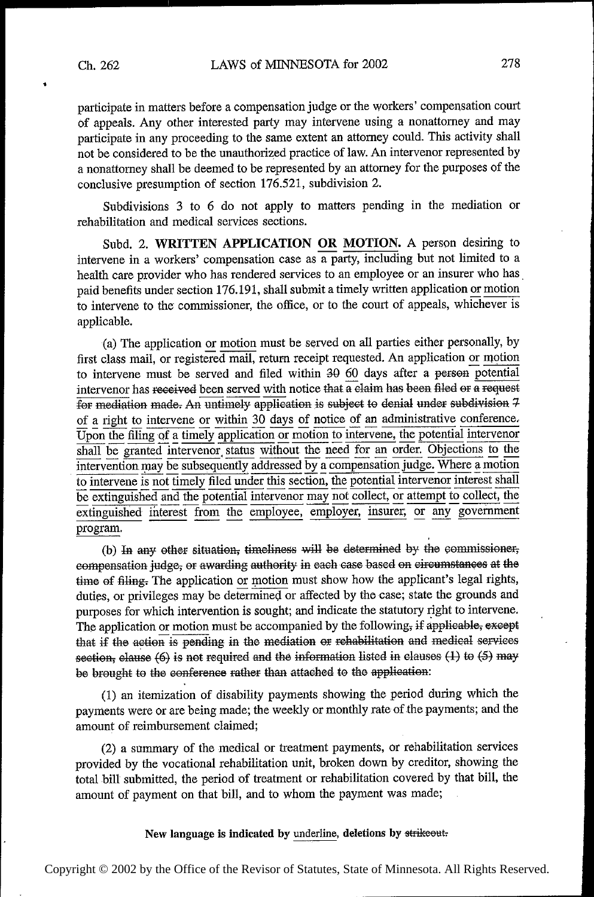participate in matters before a compensation judge or the workers' compensation court of appeals. Any other interested party may intervene using a nonattorney and may participate in any proceeding to the same extent an attorney could. This activity shall not be considered to be the unauthorized practice of law. An intervenor represented by a nonattorney shall be deemed to be represented by an attorney for the purposes of the conclusive presumption of section 176.521, subdivision 2.

Subdivisions 3 to 6 do not apply to matters pending in the mediation or rehabilitation and medical services sections.

Subd. 2. WRITTEN APPLICATION OR MOTION. A person desiring to intervene in a workers' compensation case as a party, including but not limited to a health care provider who has rendered services to an employee or an insurer who has paid benefits under section 176.191, shall submit a timely written application or motion to intervene to the' commissioner, the office, or to the court of appeals, whichever is applicable.

(a) The application or motion must be served on all parties either personally, by first class mail, or registered mail, return receipt requested. An application or motion to intervene must be served and filed within  $30$  60 days after a person potential intervenor has received been served with notice that a claim has been filed or a request  $\overline{f}$  for mediation made. An untimely application is subject to denial under subdivision  $7$ of a right to intervene or within 30 days of notice of an administrative conference.  $\overline{Upon}$  the filing of a timely application or motion to intervene, the potential intervenor shall be granted intervenor status without the need for an order. Objections to the intervention may be subsequently addressed by a compensation judge. Where a motion to intervene is not timely filed under this section, the potential intervenor interest shall be extinguished and the potential intervenor may not collect, or attempt to collect, the extinguished interest from the employee, employer, insurer; or any government program.

(b) In any other situation, timeliness will be determined by the commissioner, eompensation judge, or awarding authority in each case based on circumstances at the time of filing. The application or motion must show how the applicant's legal rights, duties, or privileges may be determined or affected by the case; state the grounds and purposes for which intervention is sought; and indicate the statutory right to intervene. The application or motion must be accompanied by the following, if applicable, except that if the action is pending in the mediation or rehabilitation and medical services section, clause  $(6)$  is not required and the information listed in clauses  $(1)$  to  $(5)$  may be brought to the conference rather than attached to the application:

(1) an itemization of disability payments showing the period during which the payments were or are being made; the weekly or monthly rate of the payments; and the amount of reimbursement claimed;

(2) a summary of the medical or treatment payments, or rehabilitation services provided by the vocational rehabilitation unit, broken down by creditor, showing the total bill' submitted, the period of treatment or rehabilitation covered by that bill, the amount of payment on that bill, and to whom the payment was made;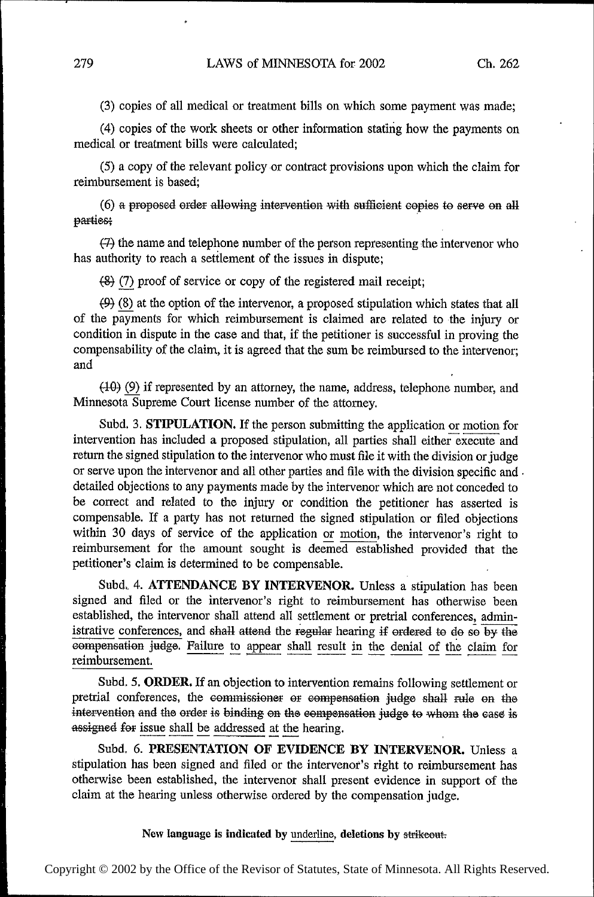(3) copies of all medical or treatment bills on which some payment was made;

(4) copies of the work sheets or other information stating how the payments on medical or treatment bills were calculated;

(5) a copy of the relevant policy or contract provisions upon which the claim for reimbursement is based;

 $(6)$  a proposed order allowing intervention with sufficient copies to serve on all parties;

 $(7)$  the name and telephone number of the person representing the intervenor who has authority to reach a settlement of the issues in dispute;

 $(8)$  (7) proof of service or copy of the registered mail receipt;

(9) (8) at the option of the intervenor, a proposed stipulation which states that all of the payments for which reimbursement is claimed are related to the injury or condition in dispute in the case and that, if the petitioner is successful in proving the compensability of the claim, it is agreed that the sum be reimbursed to the intervenor; and

(40) Q if represented by an attorney, the name, address, telephone number, and Minnesota Supreme Court license number of the attorney.

Subd. 3. STIPULATION. If the person submitting the application or motion for intervention has included a proposed stipulation, all parties shall either execute and return the signed stipulation to the intervenor who must file it with the division or judge or serve upon the intervenor and all other parties and file with the division specific and . detailed objections to any payments made by the intervenor which are not conceded to be correct and related to the injury or condition the petitioner has asserted is compensable. If a party has not returned the signed stipulation or filed objections within 30 days of service of the application or motion, the intervenor's right to reimbursement for the amount sought is deerned established provided that the petitioner's claim is determined to be compensable.

Subd. 4. ATTENDANCE BY INTERVENOR. Unless a stipulation has been signed and filed or the intervenor's right to reimbursement has otherwise been established, the intervenor shall attend all settlement or pretrial conferences, administrative conferences, and shall attend the regular hearing if ordered to do so by the compensation judge. Failure to appear shall result in the denial of the claim for reimbursement.

Subd. 5. ORDER. If an objection to intervention remains following settlement or pretrial conferences, the commissioner or compensation judge shall rule on the intervention and the order is binding on the compensation judge to whom the case is assigned for issue shall be addressed at the hearing.

Subd. 6. PRESENTATION OF EVIDENCE BY INTERVENOR. Unless a stipulation has been signed and filed or the intervenor's right to reimbursement has otherwise been established, the intervenor shall present evidence in support of the claim at the hearing unless otherwise ordered by the compensation judge.

#### New language is indicated by underline, deletions by strikeout: